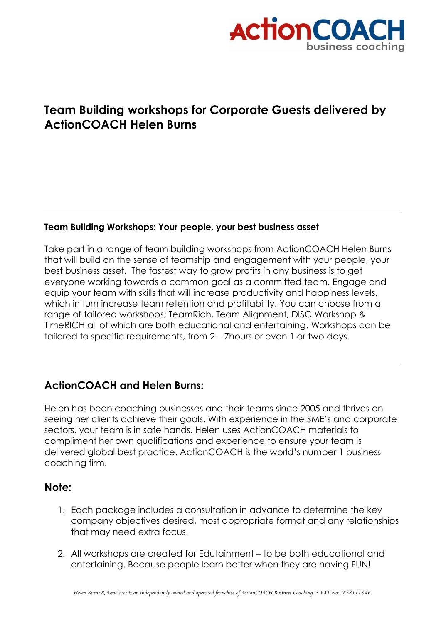

## **Team Building workshops for Corporate Guests delivered by ActionCOACH Helen Burns**

## **Team Building Workshops: Your people, your best business asset**

Take part in a range of team building workshops from ActionCOACH Helen Burns that will build on the sense of teamship and engagement with your people, your best business asset. The fastest way to grow profits in any business is to get everyone working towards a common goal as a committed team. Engage and equip your team with skills that will increase productivity and happiness levels, which in turn increase team retention and profitability. You can choose from a range of tailored workshops; TeamRich, Team Alignment, DISC Workshop & TimeRICH all of which are both educational and entertaining. Workshops can be tailored to specific requirements, from 2 – 7hours or even 1 or two days.

## **ActionCOACH and Helen Burns:**

Helen has been coaching businesses and their teams since 2005 and thrives on seeing her clients achieve their goals. With experience in the SME's and corporate sectors, your team is in safe hands. Helen uses ActionCOACH materials to compliment her own qualifications and experience to ensure your team is delivered global best practice. ActionCOACH is the world's number 1 business coaching firm.

## **Note:**

- 1. Each package includes a consultation in advance to determine the key company objectives desired, most appropriate format and any relationships that may need extra focus.
- 2. All workshops are created for Edutainment to be both educational and entertaining. Because people learn better when they are having FUN!